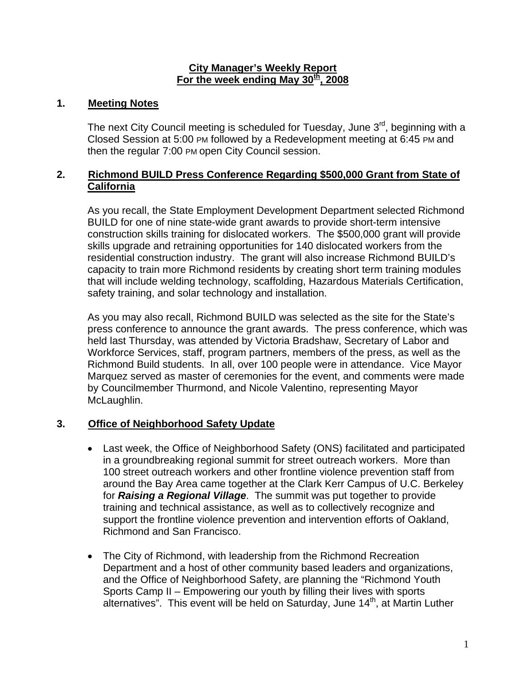#### **City Manager's Weekly Report** For the week ending May 30<sup>th</sup>, 2008

## **1. Meeting Notes**

The next City Council meeting is scheduled for Tuesday, June  $3<sup>rd</sup>$ , beginning with a Closed Session at 5:00 PM followed by a Redevelopment meeting at 6:45 PM and then the regular 7:00 PM open City Council session.

## **2. Richmond BUILD Press Conference Regarding \$500,000 Grant from State of California**

As you recall, the State Employment Development Department selected Richmond BUILD for one of nine state-wide grant awards to provide short-term intensive construction skills training for dislocated workers. The \$500,000 grant will provide skills upgrade and retraining opportunities for 140 dislocated workers from the residential construction industry. The grant will also increase Richmond BUILD's capacity to train more Richmond residents by creating short term training modules that will include welding technology, scaffolding, Hazardous Materials Certification, safety training, and solar technology and installation.

As you may also recall, Richmond BUILD was selected as the site for the State's press conference to announce the grant awards. The press conference, which was held last Thursday, was attended by Victoria Bradshaw, Secretary of Labor and Workforce Services, staff, program partners, members of the press, as well as the Richmond Build students. In all, over 100 people were in attendance. Vice Mayor Marquez served as master of ceremonies for the event, and comments were made by Councilmember Thurmond, and Nicole Valentino, representing Mayor McLaughlin.

# **3. Office of Neighborhood Safety Update**

- Last week, the Office of Neighborhood Safety (ONS) facilitated and participated in a groundbreaking regional summit for street outreach workers. More than 100 street outreach workers and other frontline violence prevention staff from around the Bay Area came together at the Clark Kerr Campus of U.C. Berkeley for *Raising a Regional Village*. The summit was put together to provide training and technical assistance, as well as to collectively recognize and support the frontline violence prevention and intervention efforts of Oakland, Richmond and San Francisco.
- The City of Richmond, with leadership from the Richmond Recreation Department and a host of other community based leaders and organizations, and the Office of Neighborhood Safety, are planning the "Richmond Youth Sports Camp II – Empowering our youth by filling their lives with sports alternatives". This event will be held on Saturday, June 14<sup>th</sup>, at Martin Luther